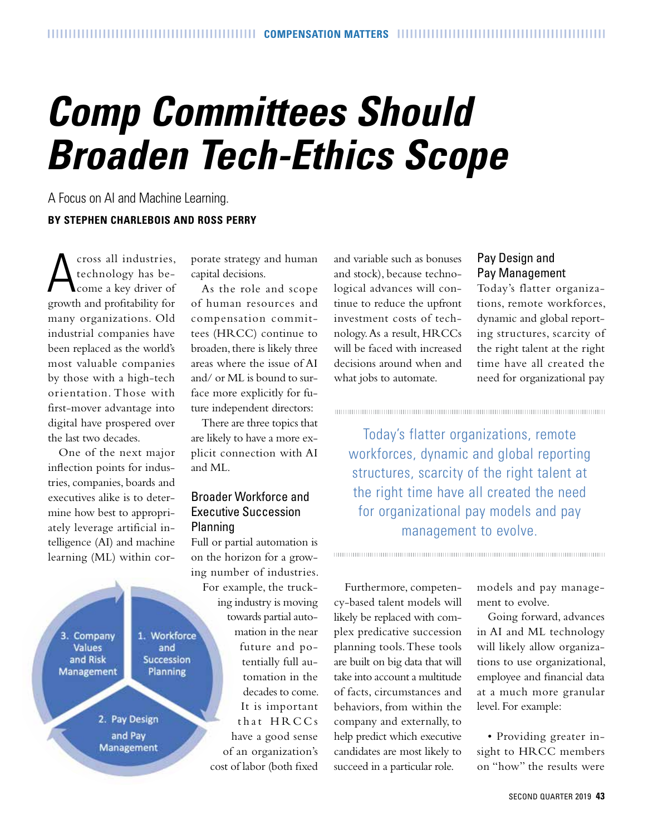# *Comp Committees Should Broaden Tech-Ethics Scope*

A Focus on AI and Machine Learning. **BY STEPHEN CHARLEBOIS AND ROSS PERRY**

A cross all industries, technology has become a key driver of growth and profitability for many organizations. Old industrial companies have been replaced as the world's most valuable companies by those with a high-tech orientation. Those with first-mover advantage into digital have prospered over the last two decades.

One of the next major inflection points for industries, companies, boards and executives alike is to determine how best to appropriately leverage artificial intelligence (AI) and machine learning (ML) within cor-



porate strategy and human capital decisions.

As the role and scope of human resources and compensation committees (HRCC) continue to broaden, there is likely three areas where the issue of AI and/ or ML is bound to surface more explicitly for future independent directors:

There are three topics that are likely to have a more explicit connection with AI and ML.

#### Broader Workforce and Executive Succession Planning

Full or partial automation is on the horizon for a growing number of industries. For example, the trucking industry is moving towards partial automation in the near future and potentially full automation in the decades to come. It is important that HRCCs have a good sense of an organization's

cost of labor (both fixed

and variable such as bonuses and stock), because technological advances will continue to reduce the upfront investment costs of technology. As a result, HRCCs will be faced with increased decisions around when and what jobs to automate.

## Pay Design and Pay Management

Today's flatter organizations, remote workforces, dynamic and global reporting structures, scarcity of the right talent at the right time have all created the need for organizational pay

Today's flatter organizations, remote workforces, dynamic and global reporting structures, scarcity of the right talent at the right time have all created the need for organizational pay models and pay management to evolve.

Furthermore, competency-based talent models will likely be replaced with complex predicative succession planning tools. These tools are built on big data that will take into account a multitude of facts, circumstances and behaviors, from within the company and externally, to help predict which executive candidates are most likely to succeed in a particular role.

models and pay management to evolve.

Going forward, advances in AI and ML technology will likely allow organizations to use organizational, employee and financial data at a much more granular level. For example:

• Providing greater insight to HRCC members on "how" the results were